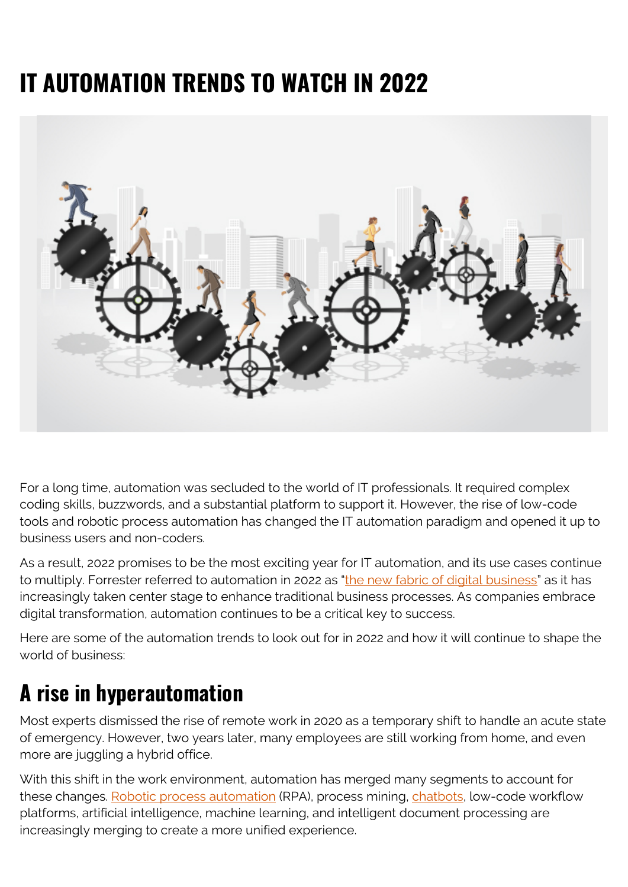# **IT AUTOMATION TRENDS TO WATCH IN 2022**



For a long time, automation was secluded to the world of IT professionals. It required complex coding skills, buzzwords, and a substantial platform to support it. However, the rise of low-code tools and robotic process automation has changed the IT automation paradigm and opened it up to business users and non-coders.

As a result, 2022 promises to be the most exciting year for IT automation, and its use cases continue to multiply. Forrester referred to automation in 2022 as ["the new fabric of digital business](https://www.techrepublic.com/article/forrester-the-new-automation-fabric-is-where-digital-business-happens/)" as it has increasingly taken center stage to enhance traditional business processes. As companies embrace digital transformation, automation continues to be a critical key to success.

Here are some of the automation trends to look out for in 2022 and how it will continue to shape the world of business:

#### **A rise in hyperautomation**

Most experts dismissed the rise of remote work in 2020 as a temporary shift to handle an acute state of emergency. However, two years later, many employees are still working from home, and even more are juggling a hybrid office.

With this shift in the work environment, automation has merged many segments to account for these changes. [Robotic process automation](https://blogs.bmc.com/blogs/workload-automation-vs-robotic-process-automation/) (RPA), process mining, [chatbots](https://blogs.bmc.com/blogs/chatbot-vs-virtual-agent/), low-code workflow platforms, artificial intelligence, machine learning, and intelligent document processing are increasingly merging to create a more unified experience.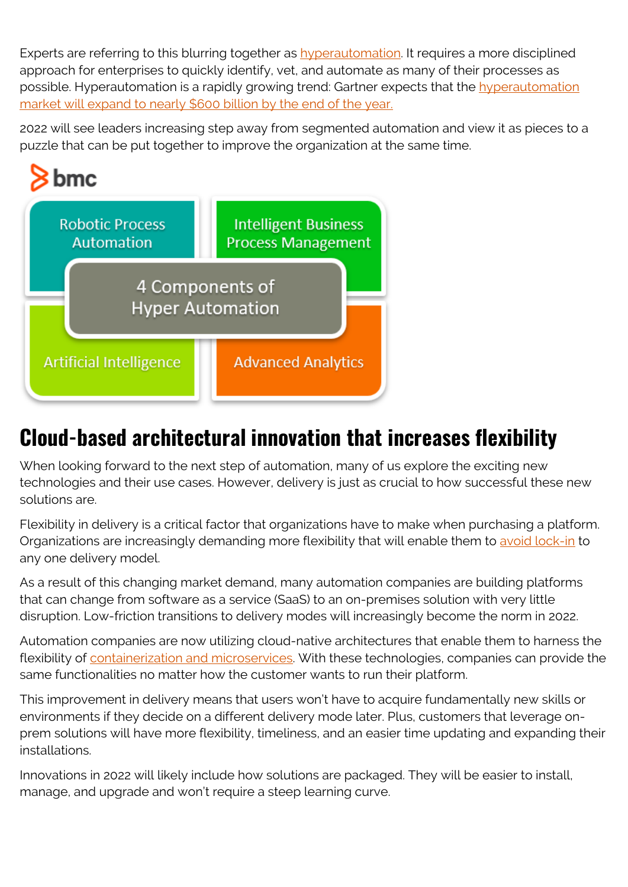Experts are referring to this blurring together as [hyperautomation](https://blogs.bmc.com/blogs/hyper-automation/). It requires a more disciplined approach for enterprises to quickly identify, vet, and automate as many of their processes as possible. Hyperautomation is a rapidly growing trend: Gartner expects that the [hyperautomation](https://www.gartner.com/en/newsroom/press-releases/2021-04-28-gartner-forecasts-worldwide-hyperautomation-enabling-software-market-to-reach-nearly-600-billion-by-2022) [market will expand to nearly \\$600 billion by the end of the year.](https://www.gartner.com/en/newsroom/press-releases/2021-04-28-gartner-forecasts-worldwide-hyperautomation-enabling-software-market-to-reach-nearly-600-billion-by-2022)

2022 will see leaders increasing step away from segmented automation and view it as pieces to a puzzle that can be put together to improve the organization at the same time.



## **Cloud-based architectural innovation that increases flexibility**

When looking forward to the next step of automation, many of us explore the exciting new technologies and their use cases. However, delivery is just as crucial to how successful these new solutions are.

Flexibility in delivery is a critical factor that organizations have to make when purchasing a platform. Organizations are increasingly demanding more flexibility that will enable them to [avoid lock-in](https://blogs.bmc.com/blogs/vendor-lock-in/) to any one delivery model.

As a result of this changing market demand, many automation companies are building platforms that can change from software as a service (SaaS) to an on-premises solution with very little disruption. Low-friction transitions to delivery modes will increasingly become the norm in 2022.

Automation companies are now utilizing cloud-native architectures that enable them to harness the flexibility of [containerization and microservices.](https://blogs.bmc.com/blogs/containers-vs-microservices/) With these technologies, companies can provide the same functionalities no matter how the customer wants to run their platform.

This improvement in delivery means that users won't have to acquire fundamentally new skills or environments if they decide on a different delivery mode later. Plus, customers that leverage onprem solutions will have more flexibility, timeliness, and an easier time updating and expanding their installations.

Innovations in 2022 will likely include how solutions are packaged. They will be easier to install, manage, and upgrade and won't require a steep learning curve.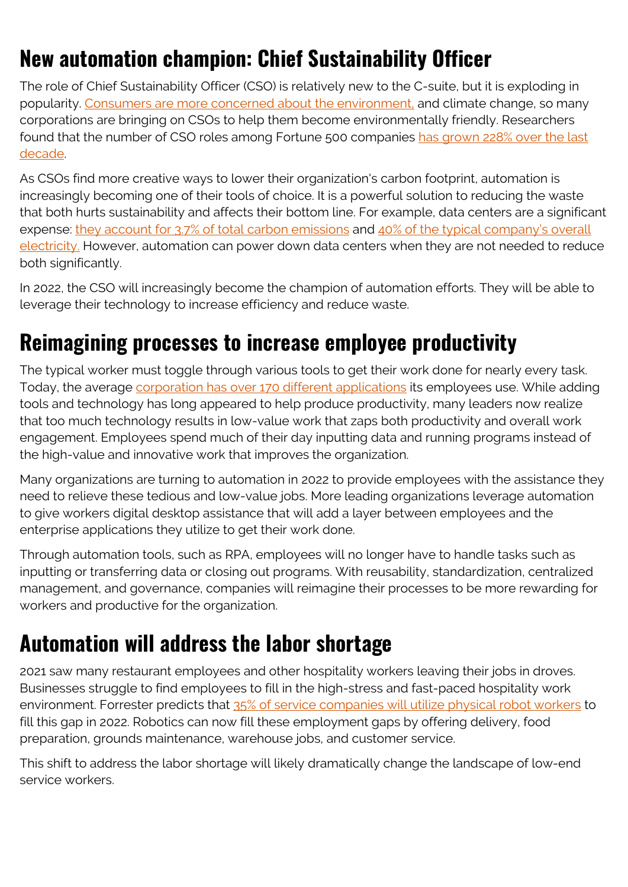# **New automation champion: Chief Sustainability Officer**

The role of Chief Sustainability Officer (CSO) is relatively new to the C-suite, but it is exploding in popularity. [Consumers are more concerned about the environment,](https://www.businesswire.com/news/home/20210322005061/en/GreenPrint-Survey-Finds-Consumers-Want-to-Buy-Eco-Friendly-Products-but-Don’t-Know-How-to-Identify-Them) and climate change, so many corporations are bringing on CSOs to help them become environmentally friendly. Researchers found that the number of CSO roles among Fortune 500 companies [has grown 228% over the last](https://weinrebgroup.com/cso-chief-sustainability-officer-esg-report-2021/) [decade.](https://weinrebgroup.com/cso-chief-sustainability-officer-esg-report-2021/)

As CSOs find more creative ways to lower their organization's carbon footprint, automation is increasingly becoming one of their tools of choice. It is a powerful solution to reducing the waste that both hurts sustainability and affects their bottom line. For example, data centers are a significant expense: [they account for 3.7% of total carbon emissions](https://www.bbc.com/future/article/20200305-why-your-internet-habits-are-not-as-clean-as-you-think) and [40% of the typical company's overall](https://www.researchgate.net/publication/317308758_Cooling_Energy_Consumption_Investigation_of_Data_Center_IT_Room_with_Vertical_Placed_Server) [electricity.](https://www.researchgate.net/publication/317308758_Cooling_Energy_Consumption_Investigation_of_Data_Center_IT_Room_with_Vertical_Placed_Server) However, automation can power down data centers when they are not needed to reduce both significantly.

In 2022, the CSO will increasingly become the champion of automation efforts. They will be able to leverage their technology to increase efficiency and reduce waste.

## **Reimagining processes to increase employee productivity**

The typical worker must toggle through various tools to get their work done for nearly every task. Today, the average [corporation has over 170 different applications](https://www.okta.com/businesses-at-work/2021/) its employees use. While adding tools and technology has long appeared to help produce productivity, many leaders now realize that too much technology results in low-value work that zaps both productivity and overall work engagement. Employees spend much of their day inputting data and running programs instead of the high-value and innovative work that improves the organization.

Many organizations are turning to automation in 2022 to provide employees with the assistance they need to relieve these tedious and low-value jobs. More leading organizations leverage automation to give workers digital desktop assistance that will add a layer between employees and the enterprise applications they utilize to get their work done.

Through automation tools, such as RPA, employees will no longer have to handle tasks such as inputting or transferring data or closing out programs. With reusability, standardization, centralized management, and governance, companies will reimagine their processes to be more rewarding for workers and productive for the organization.

#### **Automation will address the labor shortage**

2021 saw many restaurant employees and other hospitality workers leaving their jobs in droves. Businesses struggle to find employees to fill in the high-stress and fast-paced hospitality work environment. Forrester predicts that [35% of service companies will utilize physical robot workers](https://www.forrester.com/blogs/predictions-2022-the-pandemics-wake-drives-automation-trends/) to fill this gap in 2022. Robotics can now fill these employment gaps by offering delivery, food preparation, grounds maintenance, warehouse jobs, and customer service.

This shift to address the labor shortage will likely dramatically change the landscape of low-end service workers.